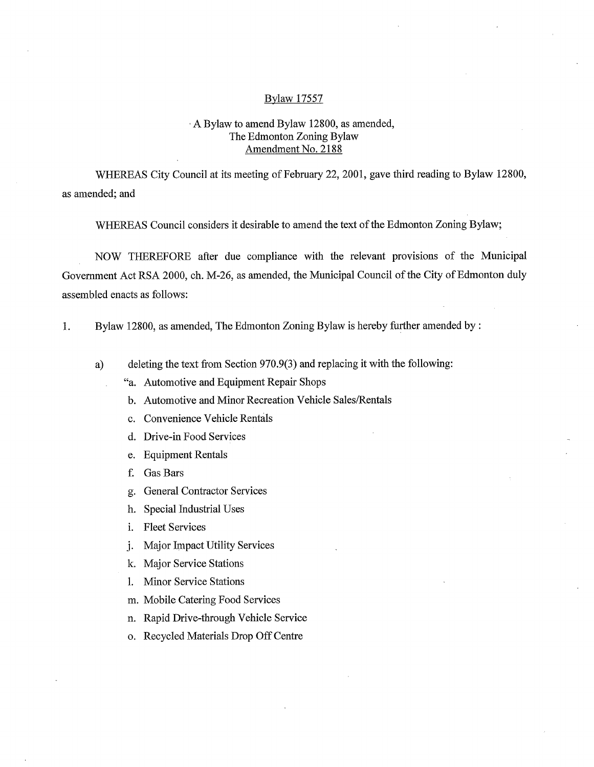## Bylaw 17557

## A Bylaw to amend Bylaw 12800, as amended, The Edmonton Zoning Bylaw Amendment No. 2188

WHEREAS City Council at its meeting of February 22, 2001, gave third reading to Bylaw 12800, as amended; and

WHEREAS Council considers it desirable to amend the text of the Edmonton Zoning Bylaw;

NOW THEREFORE after due compliance with the relevant provisions of the Municipal Government Act RSA 2000, ch. M-26, as amended, the Municipal Council of the City of Edmonton duly assembled enacts as follows:

- 1. Bylaw 12800, as amended, The Edmonton Zoning Bylaw is hereby further amended by:
	- a) deleting the text from Section 970.9(3) and replacing it with the following:
		- "a. Automotive and Equipment Repair Shops
			- b. Automotive and Minor Recreation Vehicle Sales/Rentals
			- c. Convenience Vehicle Rentals
			- d. Drive-in Food Services
			- e. Equipment Rentals
			- f. Gas Bars
			- g. General Contractor Services
			- h. Special Industrial Uses
			- i. Fleet Services
			- j. Major Impact Utility Services
			- k. Major Service Stations
			- 1. Minor Service Stations
			- m. Mobile Catering Food Services
			- n. Rapid Drive-through Vehicle Service
			- o. Recycled Materials Drop Off Centre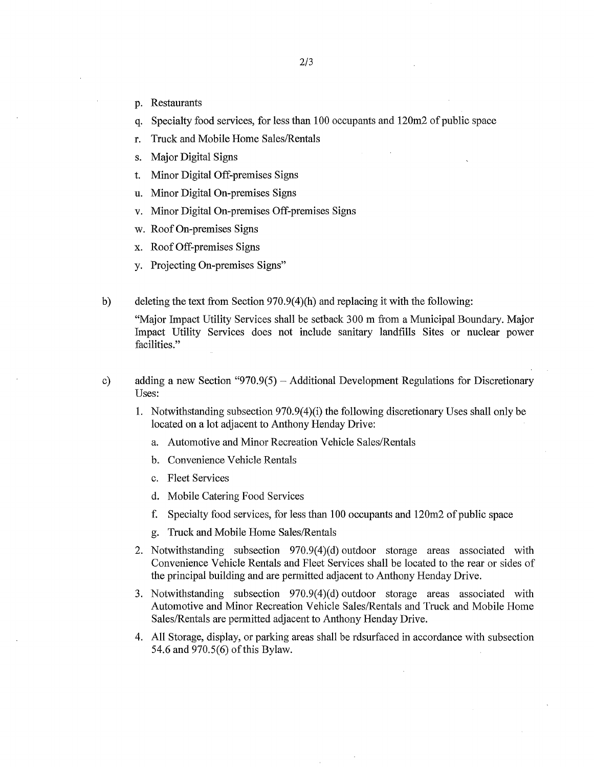- p. Restaurants
- q. Specialty food services, for less than 100 occupants and 120m2 of public space
- r. Truck and Mobile Home Sales/Rentals
- s. Major Digital Signs
- t. Minor Digital Off-premises Signs
- u. Minor Digital On-premises Signs
- v. Minor Digital On-premises Off-premises Signs
- w. Roof On-premises Signs
- x. Roof Off-premises Signs
- y. Projecting On-premises Signs"
- b) deleting the text from Section 970.9(4)(h) and replacing it with the following:

"Major Impact Utility Services shall be setback 300 m from a Municipal Boundary. Major Impact Utility Services does not include sanitary landfills Sites or nuclear power facilities."

- c) adding a new Section "970.9(5) Additional Development Regulations for Discretionary Uses:
	- 1. Notwithstanding subsection 970.9(4)(i) the following discretionary Uses shall only be located on a lot adjacent to Anthony Henday Drive:
		- a. Automotive and Minor Recreation Vehicle Sales/Rentals
		- b. Convenience Vehicle Rentals
		- c. Fleet Services
		- d. Mobile Catering Food Services
		- f. Specialty food services, for less than 100 occupants and 120m2 of public space
		- g. Truck and Mobile Home Sales/Rentals
	- 2. Notwithstanding subsection 970.9(4)(d) outdoor storage areas associated with Convenience Vehicle Rentals and Fleet Services shall be located to the rear or sides of the principal building and are permitted adjacent to Anthony Henday Drive.
	- 3. Notwithstanding subsection 970.9(4)(d) outdoor storage areas associated with Automotive and Minor Recreation Vehicle Sales/Rentals and Truck and Mobile Home Sales/Rentals are permitted adjacent to Anthony Henday Drive.
	- 4. All Storage, display, or parking areas shall be rdsurfaced in accordance with subsection 54.6 and 970.5(6) of this Bylaw.